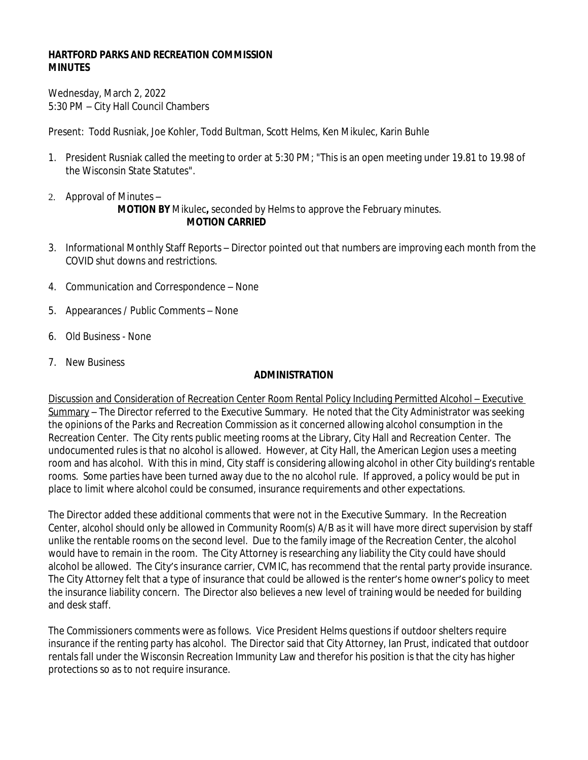#### **HARTFORD PARKS AND RECREATION COMMISSION MINUTES**

Wednesday, March 2, 2022 5:30 PM – City Hall Council Chambers

Present: Todd Rusniak, Joe Kohler, Todd Bultman, Scott Helms, Ken Mikulec, Karin Buhle

- 1. President Rusniak called the meeting to order at 5:30 PM; "This is an open meeting under 19.81 to 19.98 of the Wisconsin State Statutes".
- 2. Approval of Minutes **MOTION BY** Mikulec**,** seconded by Helms to approve the February minutes. **MOTION CARRIED**
- 3. Informational Monthly Staff Reports Director pointed out that numbers are improving each month from the COVID shut downs and restrictions.
- 4. Communication and Correspondence None
- 5. Appearances / Public Comments None
- 6. Old Business None
- 7. New Business

#### **ADMINISTRATION**

Discussion and Consideration of Recreation Center Room Rental Policy Including Permitted Alcohol – Executive Summary – The Director referred to the Executive Summary. He noted that the City Administrator was seeking the opinions of the Parks and Recreation Commission as it concerned allowing alcohol consumption in the Recreation Center. The City rents public meeting rooms at the Library, City Hall and Recreation Center. The undocumented rules is that no alcohol is allowed. However, at City Hall, the American Legion uses a meeting room and has alcohol. With this in mind, City staff is considering allowing alcohol in other City building's rentable rooms. Some parties have been turned away due to the no alcohol rule. If approved, a policy would be put in place to limit where alcohol could be consumed, insurance requirements and other expectations.

The Director added these additional comments that were not in the Executive Summary. In the Recreation Center, alcohol should only be allowed in Community Room(s) A/B as it will have more direct supervision by staff unlike the rentable rooms on the second level. Due to the family image of the Recreation Center, the alcohol would have to remain in the room. The City Attorney is researching any liability the City could have should alcohol be allowed. The City's insurance carrier, CVMIC, has recommend that the rental party provide insurance. The City Attorney felt that a type of insurance that could be allowed is the renter's home owner's policy to meet the insurance liability concern. The Director also believes a new level of training would be needed for building and desk staff.

The Commissioners comments were as follows. Vice President Helms questions if outdoor shelters require insurance if the renting party has alcohol. The Director said that City Attorney, Ian Prust, indicated that outdoor rentals fall under the Wisconsin Recreation Immunity Law and therefor his position is that the city has higher protections so as to not require insurance.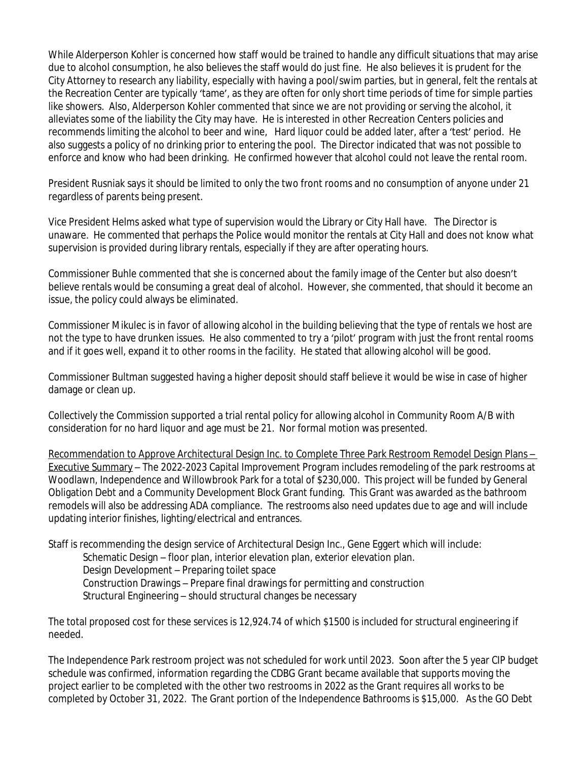While Alderperson Kohler is concerned how staff would be trained to handle any difficult situations that may arise due to alcohol consumption, he also believes the staff would do just fine. He also believes it is prudent for the City Attorney to research any liability, especially with having a pool/swim parties, but in general, felt the rentals at the Recreation Center are typically 'tame', as they are often for only short time periods of time for simple parties like showers. Also, Alderperson Kohler commented that since we are not providing or serving the alcohol, it alleviates some of the liability the City may have. He is interested in other Recreation Centers policies and recommends limiting the alcohol to beer and wine, Hard liquor could be added later, after a 'test' period. He also suggests a policy of no drinking prior to entering the pool. The Director indicated that was not possible to enforce and know who had been drinking. He confirmed however that alcohol could not leave the rental room.

President Rusniak says it should be limited to only the two front rooms and no consumption of anyone under 21 regardless of parents being present.

Vice President Helms asked what type of supervision would the Library or City Hall have. The Director is unaware. He commented that perhaps the Police would monitor the rentals at City Hall and does not know what supervision is provided during library rentals, especially if they are after operating hours.

Commissioner Buhle commented that she is concerned about the family image of the Center but also doesn't believe rentals would be consuming a great deal of alcohol. However, she commented, that should it become an issue, the policy could always be eliminated.

Commissioner Mikulec is in favor of allowing alcohol in the building believing that the type of rentals we host are not the type to have drunken issues. He also commented to try a 'pilot' program with just the front rental rooms and if it goes well, expand it to other rooms in the facility. He stated that allowing alcohol will be good.

Commissioner Bultman suggested having a higher deposit should staff believe it would be wise in case of higher damage or clean up.

Collectively the Commission supported a trial rental policy for allowing alcohol in Community Room A/B with consideration for no hard liquor and age must be 21. Nor formal motion was presented.

Recommendation to Approve Architectural Design Inc. to Complete Three Park Restroom Remodel Design Plans -Executive Summary – The 2022-2023 Capital Improvement Program includes remodeling of the park restrooms at Woodlawn, Independence and Willowbrook Park for a total of \$230,000. This project will be funded by General Obligation Debt and a Community Development Block Grant funding. This Grant was awarded as the bathroom remodels will also be addressing ADA compliance. The restrooms also need updates due to age and will include updating interior finishes, lighting/electrical and entrances.

Staff is recommending the design service of Architectural Design Inc., Gene Eggert which will include:

Schematic Design – floor plan, interior elevation plan, exterior elevation plan. Design Development – Preparing toilet space Construction Drawings – Prepare final drawings for permitting and construction Structural Engineering – should structural changes be necessary

The total proposed cost for these services is 12,924.74 of which \$1500 is included for structural engineering if needed.

The Independence Park restroom project was not scheduled for work until 2023. Soon after the 5 year CIP budget schedule was confirmed, information regarding the CDBG Grant became available that supports moving the project earlier to be completed with the other two restrooms in 2022 as the Grant requires all works to be completed by October 31, 2022. The Grant portion of the Independence Bathrooms is \$15,000. As the GO Debt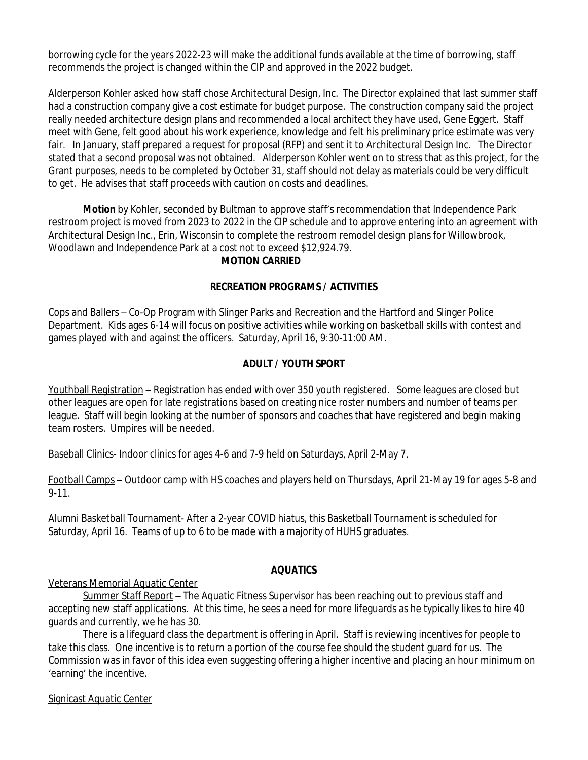borrowing cycle for the years 2022-23 will make the additional funds available at the time of borrowing, staff recommends the project is changed within the CIP and approved in the 2022 budget.

Alderperson Kohler asked how staff chose Architectural Design, Inc. The Director explained that last summer staff had a construction company give a cost estimate for budget purpose. The construction company said the project really needed architecture design plans and recommended a local architect they have used, Gene Eggert. Staff meet with Gene, felt good about his work experience, knowledge and felt his preliminary price estimate was very fair. In January, staff prepared a request for proposal (RFP) and sent it to Architectural Design Inc. The Director stated that a second proposal was not obtained. Alderperson Kohler went on to stress that as this project, for the Grant purposes, needs to be completed by October 31, staff should not delay as materials could be very difficult to get. He advises that staff proceeds with caution on costs and deadlines.

**Motion** by Kohler, seconded by Bultman to approve staff's recommendation that Independence Park restroom project is moved from 2023 to 2022 in the CIP schedule and to approve entering into an agreement with Architectural Design Inc., Erin, Wisconsin to complete the restroom remodel design plans for Willowbrook, Woodlawn and Independence Park at a cost not to exceed \$12,924.79.

## **MOTION CARRIED**

## **RECREATION PROGRAMS / ACTIVITIES**

Cops and Ballers – Co-Op Program with Slinger Parks and Recreation and the Hartford and Slinger Police Department. Kids ages 6-14 will focus on positive activities while working on basketball skills with contest and games played with and against the officers. Saturday, April 16, 9:30-11:00 AM.

# **ADULT / YOUTH SPORT**

Youthball Registration – Registration has ended with over 350 youth registered. Some leagues are closed but other leagues are open for late registrations based on creating nice roster numbers and number of teams per league. Staff will begin looking at the number of sponsors and coaches that have registered and begin making team rosters. Umpires will be needed.

Baseball Clinics- Indoor clinics for ages 4-6 and 7-9 held on Saturdays, April 2-May 7.

Football Camps – Outdoor camp with HS coaches and players held on Thursdays, April 21-May 19 for ages 5-8 and 9-11.

Alumni Basketball Tournament- After a 2-year COVID hiatus, this Basketball Tournament is scheduled for Saturday, April 16. Teams of up to 6 to be made with a majority of HUHS graduates.

# **AQUATICS**

Veterans Memorial Aquatic Center

Summer Staff Report – The Aquatic Fitness Supervisor has been reaching out to previous staff and accepting new staff applications. At this time, he sees a need for more lifeguards as he typically likes to hire 40 guards and currently, we he has 30.

There is a lifeguard class the department is offering in April. Staff is reviewing incentives for people to take this class. One incentive is to return a portion of the course fee should the student guard for us. The Commission was in favor of this idea even suggesting offering a higher incentive and placing an hour minimum on 'earning' the incentive.

Signicast Aquatic Center